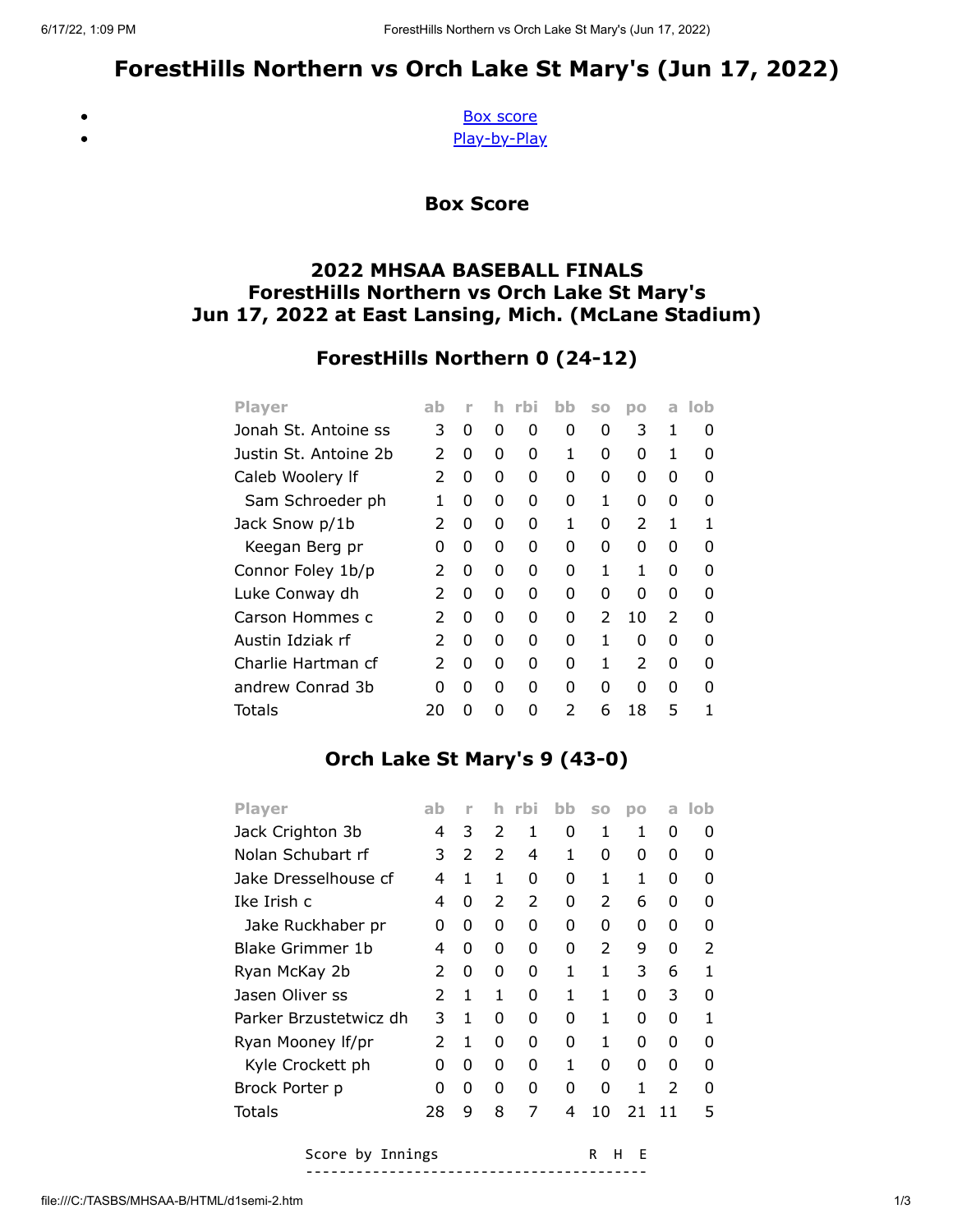# ForestHills Northern vs Orch Lake St Mary's (Jun 17, 2022)

<span id="page-0-0"></span> $\bullet$  $\bullet$ 

[Box score](#page-0-0) [Play-by-Play](#page-1-0)

Box Score

## 2022 MHSAA BASEBALL FINALS ForestHills Northern vs Orch Lake St Mary's Jun 17, 2022 at East Lansing, Mich. (McLane Stadium)

# ForestHills Northern 0 (24-12)

| <b>Player</b>         | ab            | ۲ |   | rbi | bb       | S <sub>O</sub> | DO            | a             | lob |
|-----------------------|---------------|---|---|-----|----------|----------------|---------------|---------------|-----|
| Jonah St. Antoine ss  | 3             | 0 | 0 | 0   | 0        | 0              | 3             | 1             | 0   |
| Justin St. Antoine 2b | $\mathcal{P}$ | 0 | 0 | 0   | 1        | O              | O             | 1             | O   |
| Caleb Woolery If      | $\mathcal{P}$ | 0 | 0 | 0   | 0        | O              | O             | O             |     |
| Sam Schroeder ph      | 1             | 0 | 0 | 0   | 0        | 1              | O             | O             | O   |
| Jack Snow p/1b        | 2             | 0 | 0 | 0   | 1        | O              | $\mathcal{P}$ | 1             |     |
| Keegan Berg pr        | O             | 0 | O | 0   | O        | O              | O             | O             |     |
| Connor Foley 1b/p     | 2             | 0 | O | 0   | O        | 1              | 1             | O             | O   |
| Luke Conway dh        | 2             | 0 | 0 | 0   | 0        | 0              | O             | 0             | O   |
| Carson Hommes c       | $\mathcal{P}$ | 0 | O | 0   | O        | $\mathcal{P}$  | 10            | $\mathcal{P}$ |     |
| Austin Idziak rf      | 2             | 0 | O | 0   | O        | 1              | O             | O             | n   |
| Charlie Hartman cf    | $\mathcal{P}$ | 0 | 0 | 0   | $\Omega$ | 1              | $\mathcal{P}$ | O             | O   |
| andrew Conrad 3b      | O             | 0 | O | O   | O        | O              | O             | O             |     |
| Totals                | 20            | O | ŋ | ŋ   | 2        | 6              | 18            | 5             |     |

# Orch Lake St Mary's 9 (43-0)

| <b>Player</b>          | ab            | n             |               | rbi | bb | <b>SO</b>     | DO | a             | lob           |
|------------------------|---------------|---------------|---------------|-----|----|---------------|----|---------------|---------------|
| Jack Crighton 3b       | 4             | 3             | 2             | 1   | 0  | 1             | 1  | 0             | O             |
| Nolan Schubart rf      | 3             | $\mathcal{P}$ | $\mathcal{P}$ | 4   | 1  | O             | 0  | 0             | ŋ             |
| Jake Dresselhouse cf   | 4             | 1             | 1             | 0   | 0  | 1             | 1  | 0             | O             |
| Ike Irish c            | 4             | 0             | 2             | 2   | 0  | $\mathcal{P}$ | 6  | 0             | ŋ             |
| Jake Ruckhaber pr      | 0             | 0             | 0             | 0   | 0  | O             | 0  | 0             | O             |
| Blake Grimmer 1b       | 4             | 0             | 0             | 0   | 0  | $\mathcal{P}$ | 9  | 0             | $\mathcal{P}$ |
| Ryan McKay 2b          | $\mathcal{P}$ | 0             | 0             | O   | 1  | 1             | 3  | 6             | 1             |
| Jasen Oliver ss        | $\mathcal{P}$ | 1             | 1             | O   | 1  | 1             | 0  | 3             | ŋ             |
| Parker Brzustetwicz dh | 3             | 1             | 0             | O   | 0  | 1             | 0  | 0             | 1             |
| Ryan Mooney If/pr      | $\mathcal{P}$ | 1             | 0             | 0   | 0  | 1             | 0  | 0             | O             |
| Kyle Crockett ph       | 0             | 0             | 0             | 0   | 1  | ŋ             | 0  | 0             | ŋ             |
| Brock Porter p         | O             | 0             | 0             | O   | 0  | O             | 1  | $\mathcal{P}$ | O             |
| Totals                 | 28            | 9             | 8             | 7   | 4  | 10            | 21 | 11            | 5             |

Score by Innings The R H E -----------------------------------------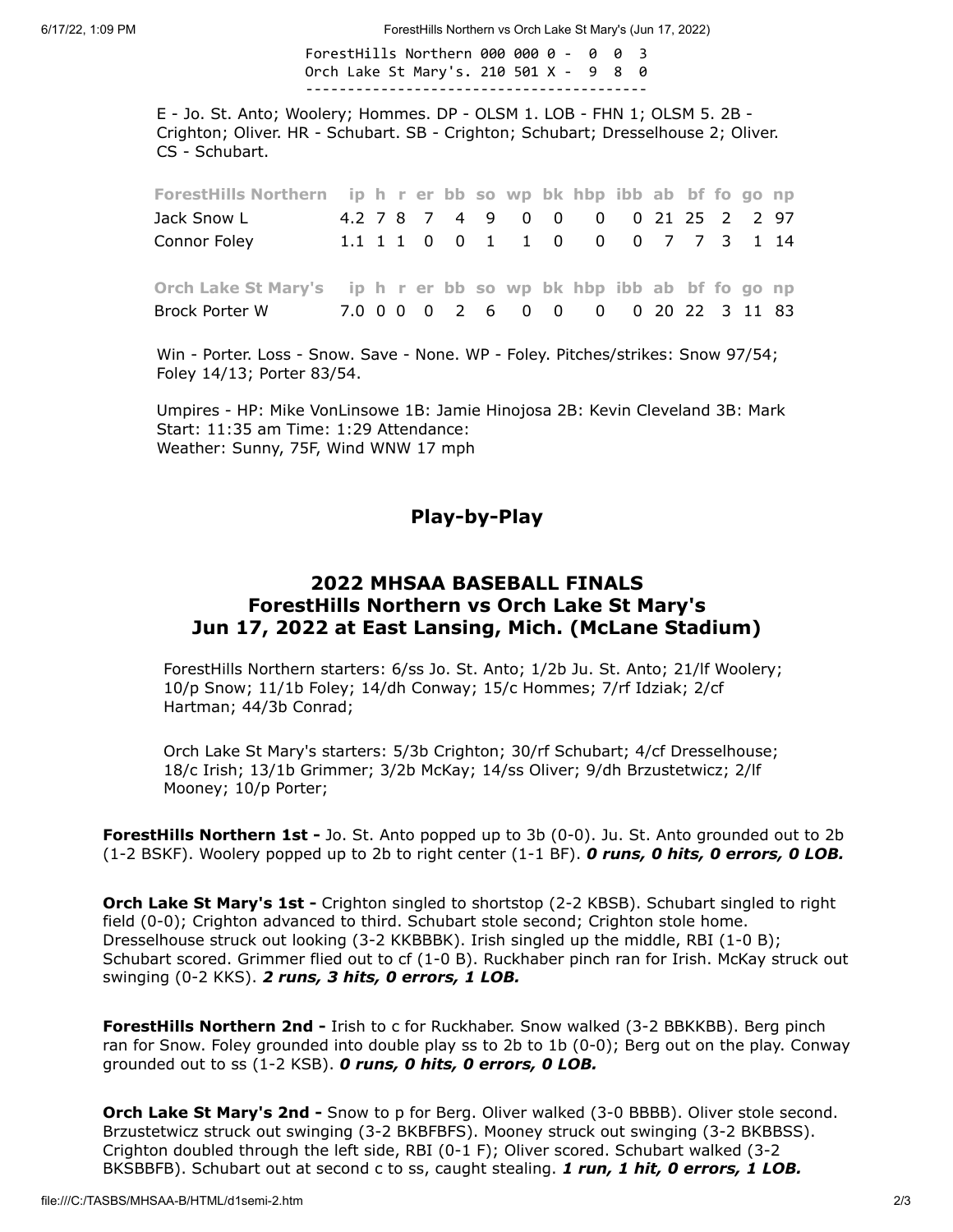6/17/22, 1:09 PM ForestHills Northern vs Orch Lake St Mary's (Jun 17, 2022)

#### ForestHills Northern 000 000 0 - 0 0 3 Orch Lake St Mary's. 210 501 X - 9 8 0 -----------------------------------------

E - Jo. St. Anto; Woolery; Hommes. DP - OLSM 1. LOB - FHN 1; OLSM 5. 2B - Crighton; Oliver. HR - Schubart. SB - Crighton; Schubart; Dresselhouse 2; Oliver. CS - Schubart.

| ForestHills Northern ip h r er bb so wp bk hbp ibb ab bf fo go np |  |  |  |  |                                    |  |  |  |
|-------------------------------------------------------------------|--|--|--|--|------------------------------------|--|--|--|
| Jack Snow L                                                       |  |  |  |  | 4.2 7 8 7 4 9 0 0 0 0 21 25 2 2 97 |  |  |  |
| Connor Foley                                                      |  |  |  |  | 1.1 1 1 0 0 1 1 0 0 0 7 7 3 1 14   |  |  |  |
|                                                                   |  |  |  |  |                                    |  |  |  |
| Orch Lake St Mary's ip h r er bb so wp bk hbp ibb ab bf fo go np  |  |  |  |  |                                    |  |  |  |
| Brock Porter W 7.0 0 0 0 2 6 0 0 0 0 20 22 3 11 83                |  |  |  |  |                                    |  |  |  |
|                                                                   |  |  |  |  |                                    |  |  |  |

Win - Porter. Loss - Snow. Save - None. WP - Foley. Pitches/strikes: Snow 97/54; Foley 14/13; Porter 83/54.

<span id="page-1-0"></span>Umpires - HP: Mike VonLinsowe 1B: Jamie Hinojosa 2B: Kevin Cleveland 3B: Mark Start: 11:35 am Time: 1:29 Attendance: Weather: Sunny, 75F, Wind WNW 17 mph

### Play-by-Play

#### 2022 MHSAA BASEBALL FINALS ForestHills Northern vs Orch Lake St Mary's Jun 17, 2022 at East Lansing, Mich. (McLane Stadium)

ForestHills Northern starters: 6/ss Jo. St. Anto; 1/2b Ju. St. Anto; 21/lf Woolery; 10/p Snow; 11/1b Foley; 14/dh Conway; 15/c Hommes; 7/rf Idziak; 2/cf Hartman; 44/3b Conrad;

Orch Lake St Mary's starters: 5/3b Crighton; 30/rf Schubart; 4/cf Dresselhouse; 18/c Irish; 13/1b Grimmer; 3/2b McKay; 14/ss Oliver; 9/dh Brzustetwicz; 2/lf Mooney; 10/p Porter;

**ForestHills Northern 1st -** Jo. St. Anto popped up to 3b (0-0). Ju. St. Anto grounded out to 2b (1-2 BSKF). Woolery popped up to 2b to right center  $(1-1 B)$ . **O runs, 0 hits, 0 errors, 0 LOB.** 

**Orch Lake St Mary's 1st -** Crighton singled to shortstop (2-2 KBSB). Schubart singled to right field (0-0); Crighton advanced to third. Schubart stole second; Crighton stole home. Dresselhouse struck out looking (3-2 KKBBBK). Irish singled up the middle, RBI (1-0 B); Schubart scored. Grimmer flied out to cf (1-0 B). Ruckhaber pinch ran for Irish. McKay struck out swinging (0-2 KKS). 2 runs, 3 hits, 0 errors, 1 LOB.

ForestHills Northern 2nd - Irish to c for Ruckhaber. Snow walked (3-2 BBKKBB). Berg pinch ran for Snow. Foley grounded into double play ss to 2b to 1b (0-0); Berg out on the play. Conway grounded out to ss (1-2 KSB). O runs, O hits, O errors, O LOB.

Orch Lake St Mary's 2nd - Snow to p for Berg. Oliver walked (3-0 BBBB). Oliver stole second. Brzustetwicz struck out swinging (3-2 BKBFBFS). Mooney struck out swinging (3-2 BKBBSS). Crighton doubled through the left side, RBI (0-1 F); Oliver scored. Schubart walked (3-2 BKSBBFB). Schubart out at second c to ss, caught stealing. 1 run, 1 hit, 0 errors, 1 LOB.